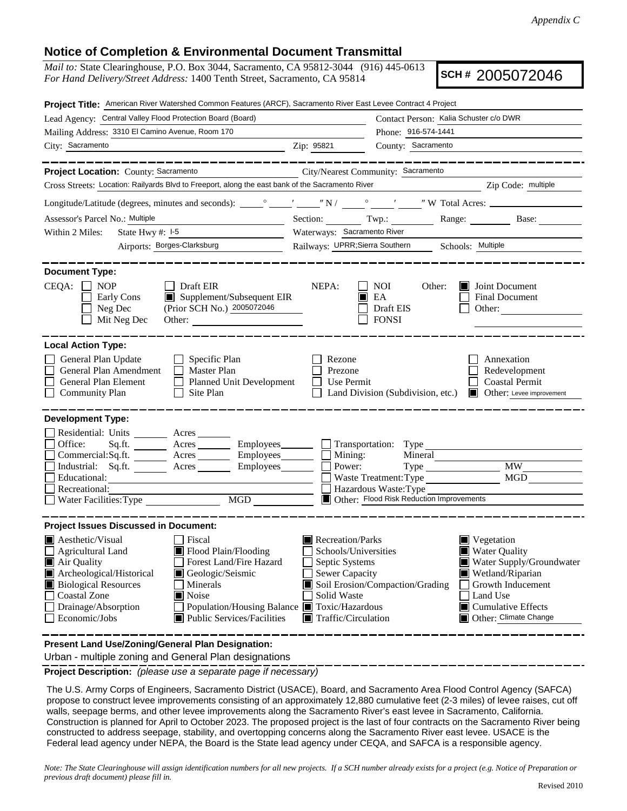## **Notice of Completion & Environmental Document Transmittal**

*Mail to:* State Clearinghouse, P.O. Box 3044, Sacramento, CA 95812-3044 (916) 445-0613 *For Hand Delivery/Street Address:* 1400 Tenth Street, Sacramento, CA 95814

**SCH #** 2005072046

|                                                                                                                                                                                              | Project Title: American River Watershed Common Features (ARCF), Sacramento River East Levee Contract 4 Project                                                                                                                                                                                                                                                                          |                                                           |                                                                                                         |                                                                                                                                                                                                  |  |
|----------------------------------------------------------------------------------------------------------------------------------------------------------------------------------------------|-----------------------------------------------------------------------------------------------------------------------------------------------------------------------------------------------------------------------------------------------------------------------------------------------------------------------------------------------------------------------------------------|-----------------------------------------------------------|---------------------------------------------------------------------------------------------------------|--------------------------------------------------------------------------------------------------------------------------------------------------------------------------------------------------|--|
| Lead Agency: Central Valley Flood Protection Board (Board)                                                                                                                                   |                                                                                                                                                                                                                                                                                                                                                                                         | Contact Person: Kalia Schuster c/o DWR                    |                                                                                                         |                                                                                                                                                                                                  |  |
| Mailing Address: 3310 El Camino Avenue, Room 170                                                                                                                                             |                                                                                                                                                                                                                                                                                                                                                                                         | Phone: 916-574-1441                                       |                                                                                                         |                                                                                                                                                                                                  |  |
| City: Sacramento                                                                                                                                                                             | Zip: 95821                                                                                                                                                                                                                                                                                                                                                                              | County: Sacramento                                        |                                                                                                         |                                                                                                                                                                                                  |  |
|                                                                                                                                                                                              |                                                                                                                                                                                                                                                                                                                                                                                         |                                                           |                                                                                                         |                                                                                                                                                                                                  |  |
| Project Location: County: Sacramento                                                                                                                                                         |                                                                                                                                                                                                                                                                                                                                                                                         | City/Nearest Community: Sacramento                        |                                                                                                         |                                                                                                                                                                                                  |  |
|                                                                                                                                                                                              | Cross Streets: Location: Railyards Blvd to Freeport, along the east bank of the Sacramento River                                                                                                                                                                                                                                                                                        |                                                           | <u> 1989 - Johann Stoff, Amerikaansk politiker (</u>                                                    | Zip Code: multiple                                                                                                                                                                               |  |
|                                                                                                                                                                                              |                                                                                                                                                                                                                                                                                                                                                                                         |                                                           |                                                                                                         |                                                                                                                                                                                                  |  |
| Assessor's Parcel No.: Multiple<br>the control of the control of the con-                                                                                                                    |                                                                                                                                                                                                                                                                                                                                                                                         | Section: Twp.:                                            |                                                                                                         | Range: Base:                                                                                                                                                                                     |  |
| State Hwy #: $1-5$<br>Within 2 Miles:                                                                                                                                                        |                                                                                                                                                                                                                                                                                                                                                                                         | Waterways: Sacramento River                               |                                                                                                         |                                                                                                                                                                                                  |  |
| Airports: Borges-Clarksburg                                                                                                                                                                  |                                                                                                                                                                                                                                                                                                                                                                                         | Railways: UPRR; Sierra Southern _______ Schools: Multiple |                                                                                                         |                                                                                                                                                                                                  |  |
| <b>Document Type:</b><br>$CEQA: \Box NP$<br>Early Cons<br>Neg Dec<br>Mit Neg Dec                                                                                                             | $\Box$ Draft EIR<br>Supplement/Subsequent EIR<br>(Prior SCH No.) 2005072046<br>Other:                                                                                                                                                                                                                                                                                                   | NEPA:                                                     | NOI<br>Other:<br>EA<br>Draft EIS<br><b>FONSI</b>                                                        | <b>Joint Document</b><br><b>Final Document</b><br>Other: $\qquad \qquad$                                                                                                                         |  |
| <b>Local Action Type:</b><br>General Plan Update<br>General Plan Amendment<br>General Plan Element<br><b>Community Plan</b>                                                                  | $\Box$ Specific Plan<br>$\Box$ Master Plan<br>Planned Unit Development<br>$\Box$ Site Plan                                                                                                                                                                                                                                                                                              | Rezone<br>Prezone<br>Use Permit<br>$\mathbf{1}$           | Land Division (Subdivision, etc.)                                                                       | Annexation<br>Redevelopment<br><b>Coastal Permit</b><br>Other: Levee improvement                                                                                                                 |  |
| <b>Development Type:</b>                                                                                                                                                                     |                                                                                                                                                                                                                                                                                                                                                                                         |                                                           |                                                                                                         |                                                                                                                                                                                                  |  |
| Residential: Units ________ Acres ______<br>Office:<br>Educational:<br>Recreational:<br>Water Facilities: Type                                                                               | Sq.ft. ________ Acres __________ Employees ________ ___ Transportation: Type ______________________<br>Commercial:Sq.ft. ________ Acres _________ Employees ________ $\Box$ Mining:<br>Industrial: Sq.ft. _______ Acres ________ Employees________ $\Box$<br>MGD                                                                                                                        | Power:                                                    | $Type \_$<br>Waste Treatment: Type<br>Hazardous Waste: Type<br>Other: Flood Risk Reduction Improvements | MW.<br>MGD                                                                                                                                                                                       |  |
| <b>Project Issues Discussed in Document:</b>                                                                                                                                                 |                                                                                                                                                                                                                                                                                                                                                                                         |                                                           |                                                                                                         |                                                                                                                                                                                                  |  |
| <b>Aesthetic/Visual</b><br><b>Agricultural Land</b><br>Air Quality<br>Archeological/Historical<br><b>Biological Resources</b><br><b>Coastal Zone</b><br>Drainage/Absorption<br>Economic/Jobs | Recreation/Parks<br>Fiscal<br>$\blacksquare$ Flood Plain/Flooding<br>Schools/Universities<br>Forest Land/Fire Hazard<br>Septic Systems<br>Sewer Capacity<br>Geologic/Seismic<br>Soil Erosion/Compaction/Grading<br>Minerals<br><b>■</b> Noise<br>Solid Waste<br>Population/Housing Balance ■ Toxic/Hazardous<br><b>Public Services/Facilities</b><br>$\blacksquare$ Traffic/Circulation |                                                           |                                                                                                         | Vegetation<br><b>Water Quality</b><br>Water Supply/Groundwater<br>$\blacksquare$ Wetland/Riparian<br>Growth Inducement<br>Land Use<br>$\blacksquare$ Cumulative Effects<br>Other: Climate Change |  |
| Present Land Use/Zoning/General Plan Designation:                                                                                                                                            |                                                                                                                                                                                                                                                                                                                                                                                         |                                                           |                                                                                                         |                                                                                                                                                                                                  |  |

Urban - multiple zoning and General Plan designations

**Project Description:** *(please use a separate page if necessary)*

 The U.S. Army Corps of Engineers, Sacramento District (USACE), Board, and Sacramento Area Flood Control Agency (SAFCA) propose to construct levee improvements consisting of an approximately 12,880 cumulative feet (2-3 miles) of levee raises, cut off walls, seepage berms, and other levee improvements along the Sacramento River's east levee in Sacramento, California. Construction is planned for April to October 2023. The proposed project is the last of four contracts on the Sacramento River being constructed to address seepage, stability, and overtopping concerns along the Sacramento River east levee. USACE is the Federal lead agency under NEPA, the Board is the State lead agency under CEQA, and SAFCA is a responsible agency.

*Note: The State Clearinghouse will assign identification numbers for all new projects. If a SCH number already exists for a project (e.g. Notice of Preparation or previous draft document) please fill in.*